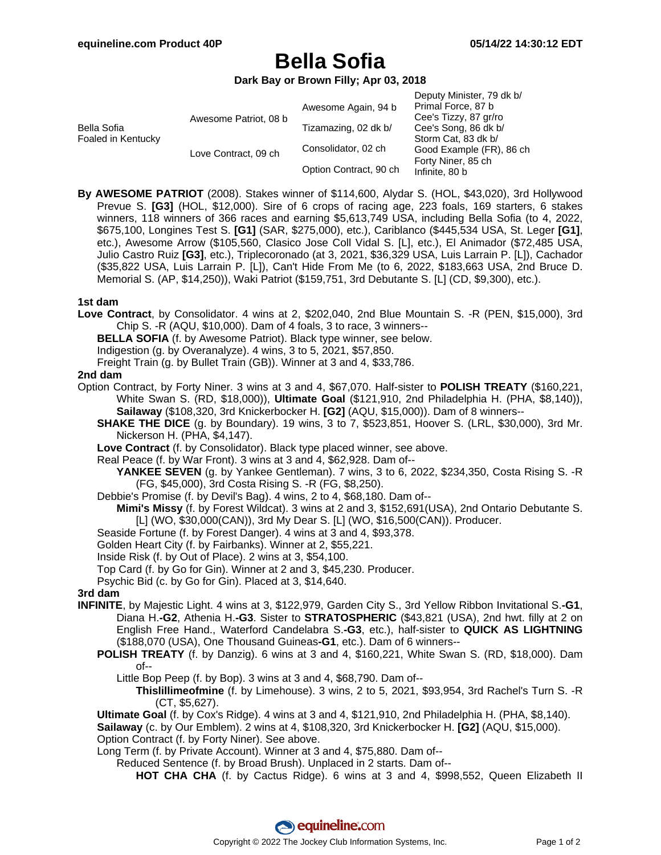# **Bella Sofia**

**Dark Bay or Brown Filly; Apr 03, 2018**

| Bella Sofia<br>Foaled in Kentucky | Awesome Patriot, 08 b | Awesome Again, 94 b    | Deputy Minister, 79 dk b/<br>Primal Force, 87 b<br>Cee's Tizzy, 87 gr/ro                                        |
|-----------------------------------|-----------------------|------------------------|-----------------------------------------------------------------------------------------------------------------|
|                                   |                       | Tizamazing, 02 dk b/   | Cee's Song, 86 dk b/<br>Storm Cat, 83 dk b/<br>Good Example (FR), 86 ch<br>Forty Niner, 85 ch<br>Infinite, 80 b |
|                                   | Love Contract, 09 ch  | Consolidator, 02 ch    |                                                                                                                 |
|                                   |                       | Option Contract, 90 ch |                                                                                                                 |

**By AWESOME PATRIOT** (2008). Stakes winner of \$114,600, Alydar S. (HOL, \$43,020), 3rd Hollywood Prevue S. **[G3]** (HOL, \$12,000). Sire of 6 crops of racing age, 223 foals, 169 starters, 6 stakes winners, 118 winners of 366 races and earning \$5,613,749 USA, including Bella Sofia (to 4, 2022, \$675,100, Longines Test S. **[G1]** (SAR, \$275,000), etc.), Cariblanco (\$445,534 USA, St. Leger **[G1]**, etc.), Awesome Arrow (\$105,560, Clasico Jose Coll Vidal S. [L], etc.), El Animador (\$72,485 USA, Julio Castro Ruiz **[G3]**, etc.), Triplecoronado (at 3, 2021, \$36,329 USA, Luis Larrain P. [L]), Cachador (\$35,822 USA, Luis Larrain P. [L]), Can't Hide From Me (to 6, 2022, \$183,663 USA, 2nd Bruce D. Memorial S. (AP, \$14,250)), Waki Patriot (\$159,751, 3rd Debutante S. [L] (CD, \$9,300), etc.).

## **1st dam**

- **Love Contract**, by Consolidator. 4 wins at 2, \$202,040, 2nd Blue Mountain S. -R (PEN, \$15,000), 3rd Chip S. -R (AQU, \$10,000). Dam of 4 foals, 3 to race, 3 winners--
	- **BELLA SOFIA** (f. by Awesome Patriot). Black type winner, see below.
	- Indigestion (g. by Overanalyze). 4 wins, 3 to 5, 2021, \$57,850.
	- Freight Train (g. by Bullet Train (GB)). Winner at 3 and 4, \$33,786.

#### **2nd dam**

- Option Contract, by Forty Niner. 3 wins at 3 and 4, \$67,070. Half-sister to **POLISH TREATY** (\$160,221, White Swan S. (RD, \$18,000)), **Ultimate Goal** (\$121,910, 2nd Philadelphia H. (PHA, \$8,140)), **Sailaway** (\$108,320, 3rd Knickerbocker H. **[G2]** (AQU, \$15,000)). Dam of 8 winners--
	- **SHAKE THE DICE** (g. by Boundary). 19 wins, 3 to 7, \$523,851, Hoover S. (LRL, \$30,000), 3rd Mr. Nickerson H. (PHA, \$4,147).
	- **Love Contract** (f. by Consolidator). Black type placed winner, see above.
	- Real Peace (f. by War Front). 3 wins at 3 and 4, \$62,928. Dam of--
		- **YANKEE SEVEN** (g. by Yankee Gentleman). 7 wins, 3 to 6, 2022, \$234,350, Costa Rising S. -R (FG, \$45,000), 3rd Costa Rising S. -R (FG, \$8,250).
	- Debbie's Promise (f. by Devil's Bag). 4 wins, 2 to 4, \$68,180. Dam of--
		- **Mimi's Missy** (f. by Forest Wildcat). 3 wins at 2 and 3, \$152,691(USA), 2nd Ontario Debutante S. [L] (WO, \$30,000(CAN)), 3rd My Dear S. [L] (WO, \$16,500(CAN)). Producer.
	- Seaside Fortune (f. by Forest Danger). 4 wins at 3 and 4, \$93,378.
	- Golden Heart City (f. by Fairbanks). Winner at 2, \$55,221.
	- Inside Risk (f. by Out of Place). 2 wins at 3, \$54,100.
	- Top Card (f. by Go for Gin). Winner at 2 and 3, \$45,230. Producer.
	- Psychic Bid (c. by Go for Gin). Placed at 3, \$14,640.

## **3rd dam**

- **INFINITE**, by Majestic Light. 4 wins at 3, \$122,979, Garden City S., 3rd Yellow Ribbon Invitational S.**-G1**, Diana H.**-G2**, Athenia H.**-G3**. Sister to **STRATOSPHERIC** (\$43,821 (USA), 2nd hwt. filly at 2 on English Free Hand., Waterford Candelabra S.**-G3**, etc.), half-sister to **QUICK AS LIGHTNING** (\$188,070 (USA), One Thousand Guineas**-G1**, etc.). Dam of 6 winners--
	- **POLISH TREATY** (f. by Danzig). 6 wins at 3 and 4, \$160,221, White Swan S. (RD, \$18,000). Dam of--
		- Little Bop Peep (f. by Bop). 3 wins at 3 and 4, \$68,790. Dam of--
			- **Thislillimeofmine** (f. by Limehouse). 3 wins, 2 to 5, 2021, \$93,954, 3rd Rachel's Turn S. -R (CT, \$5,627).
	- **Ultimate Goal** (f. by Cox's Ridge). 4 wins at 3 and 4, \$121,910, 2nd Philadelphia H. (PHA, \$8,140).

**Sailaway** (c. by Our Emblem). 2 wins at 4, \$108,320, 3rd Knickerbocker H. **[G2]** (AQU, \$15,000). Option Contract (f. by Forty Niner). See above.

- Long Term (f. by Private Account). Winner at 3 and 4, \$75,880. Dam of--
	- Reduced Sentence (f. by Broad Brush). Unplaced in 2 starts. Dam of--
		- **HOT CHA CHA** (f. by Cactus Ridge). 6 wins at 3 and 4, \$998,552, Queen Elizabeth II